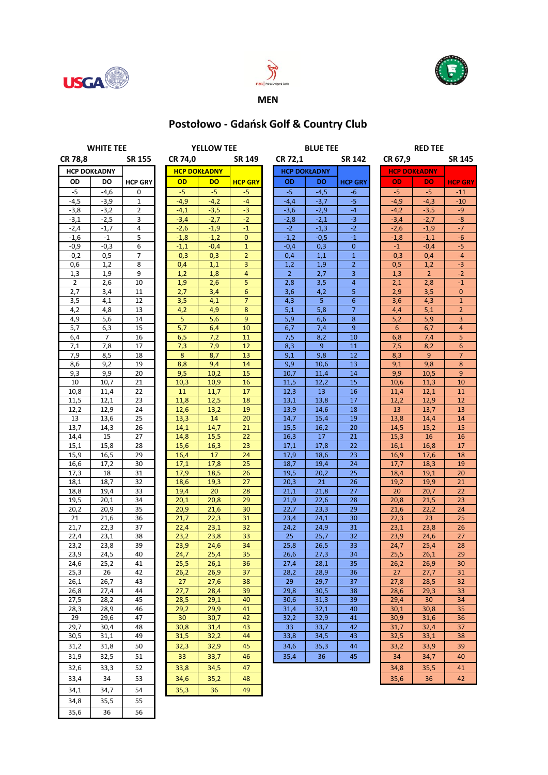





## **MEN**

## **Postołowo - Gdańsk Golf & Country Club**

| <b>WHITE TEE</b>    |              |                |  | <b>YELLOW TEE</b>   |              |                 |  | <b>BLUE TEE</b>     |              |                |         | <b>RED TEE</b>      |                |                |  |
|---------------------|--------------|----------------|--|---------------------|--------------|-----------------|--|---------------------|--------------|----------------|---------|---------------------|----------------|----------------|--|
| <b>CR 78,8</b>      |              | SR 155         |  | CR 74,0             |              | <b>SR 149</b>   |  | CR 72,1             |              | <b>SR 142</b>  | CR 67,9 |                     |                | <b>SR 145</b>  |  |
| <b>HCP DOKŁADNY</b> |              |                |  | <b>HCP DOKŁADNY</b> |              |                 |  | <b>HCP DOKŁADNY</b> |              |                |         | <b>HCP DOKŁADNY</b> |                |                |  |
| OD                  | DO           | <b>HCP GRY</b> |  | OD                  | <b>DO</b>    | <b>HCP GRY</b>  |  | OD                  | <b>DO</b>    | <b>HCP GRY</b> |         | OD                  | <b>DO</b>      | <b>HCP GRY</b> |  |
| $-5$                | $-4,6$       | $\mathbf 0$    |  | -5                  | $-5$         | -5              |  | $-5$                | $-4,5$       | -6             |         | $-5$                | $-5$           | $-11$          |  |
| $-4,5$              | $-3,9$       | $\mathbf{1}$   |  | $-4,9$              | $-4,2$       | $-4$            |  | $-4,4$              | $-3,7$       | $-5$           |         | $-4,9$              | $-4,3$         | $-10$          |  |
| $-3,8$              | $-3,2$       | $\overline{2}$ |  | $-4,1$              | $-3,5$       | $-3$            |  | $-3,6$              | $-2,9$       | $-4$           |         | $-4,2$              | $-3,5$         | $-9$           |  |
| $-3,1$              | $-2,5$       | 3              |  | $-3,4$              | $-2,7$       | $-2$            |  | $-2,8$              | $-2,1$       | $-3$           |         | $-3,4$              | $-2,7$         | $-8$           |  |
| $-2,4$              | $-1,7$       | 4              |  | $-2,6$              | $-1,9$       | $-1$            |  | $-2$                | $-1,3$       | $-2$           |         | $-2,6$              | $-1,9$         | $-7$           |  |
| $-1,6$              | $-1$         | 5              |  | $-1,8$              | $-1,2$       | $\mathbf{0}$    |  | $-1,2$              | $-0,5$       | $-1$           |         | $-1,8$              | $-1,1$         | $-6$           |  |
| $-0,9$              | $-0,3$       | 6              |  | $-1,1$              | $-0,4$       | $\mathbf{1}$    |  | $-0,4$              | 0,3          | $\mathbf{0}$   |         | $-1$                | $-0,4$         | $-5$           |  |
| $-0,2$              | 0,5          | 7              |  | $-0,3$              | 0,3          | $\overline{2}$  |  | 0,4                 | 1,1          | $\mathbf{1}$   |         | $-0,3$              | 0,4            | $-4$           |  |
| 0,6                 | 1,2          | 8              |  | 0,4                 | 1,1          | 3               |  | 1,2                 | 1,9          | $\overline{2}$ |         | 0,5                 | 1,2            | $-3$           |  |
| 1,3                 | 1,9          | 9              |  | 1,2                 | 1,8          | $\overline{4}$  |  | $\overline{2}$      | 2,7          | 3              |         | 1,3                 | $\overline{2}$ | $-2$           |  |
| $\overline{2}$      | 2,6          | 10             |  | 1,9                 | 2,6          | 5               |  | 2,8                 | 3,5          | $\overline{4}$ |         | 2,1                 | 2,8            | $-1$           |  |
| 2,7                 | 3,4          | 11             |  | 2,7                 | 3,4          | $6\phantom{1}6$ |  | 3,6                 | 4,2          | 5              |         | 2,9                 | 3,5            | $\overline{0}$ |  |
| 3,5                 | 4,1          | 12             |  | 3,5                 | 4,1          | $\overline{7}$  |  | 4,3                 | 5            | $6\phantom{1}$ |         | 3,6                 | 4,3            | $\mathbf{1}$   |  |
| 4,2                 | 4,8          | 13             |  | 4,2                 | 4,9          | 8               |  | 5,1                 | 5,8          | $\overline{7}$ |         | 4,4                 | 5,1            | $\overline{2}$ |  |
| 4,9                 | 5,6          | 14             |  | 5                   | 5,6          | 9               |  | 5,9                 | 6,6          | 8              |         | 5,2                 | 5,9            | 3              |  |
| 5,7                 | 6,3          | 15             |  | 5,7                 | 6,4          | 10              |  | 6,7                 | 7,4          | 9              |         | 6                   | 6,7            | $\overline{4}$ |  |
| 6,4<br>7,1          | 7<br>7,8     | 16<br>17       |  | 6,5<br>7,3          | 7,2<br>7,9   | 11<br>12        |  | 7,5<br>8,3          | 8,2<br>9     | 10<br>11       |         | 6,8<br>7,5          | 7,4<br>8,2     | 5<br>6         |  |
| 7,9                 | 8,5          | 18             |  | 8                   | 8,7          | 13              |  | 9,1                 | 9,8          | 12             |         | 8,3                 | 9              | $\overline{7}$ |  |
| 8,6                 | 9,2          | 19             |  | 8,8                 | 9,4          | 14              |  | 9,9                 | 10,6         | 13             |         | 9,1                 | 9,8            | 8              |  |
| 9,3                 | 9,9          | 20             |  | 9,5                 | 10.2         | 15              |  | 10,7                | 11,4         | 14             |         | 9,9                 | 10,5           | 9              |  |
| 10                  | 10,7         | 21             |  | 10,3                | 10,9         | 16              |  | 11,5                | 12,2         | 15             |         | 10,6                | 11,3           | 10             |  |
| 10,8                | 11,4         | 22             |  | 11                  | 11,7         | 17              |  | 12,3                | 13           | 16             |         | 11,4                | 12,1           | 11             |  |
| 11,5                | 12,1         | 23             |  | 11,8                | 12,5         | 18              |  | 13,1                | 13,8         | 17             |         | 12,2                | 12,9           | 12             |  |
| 12,2                | 12,9         | 24             |  | 12,6                | 13,2         | 19              |  | 13,9                | 14,6         | 18             |         | 13                  | 13,7           | 13             |  |
| 13                  | 13,6         | 25             |  | 13,3                | 14           | 20              |  | 14,7                | 15,4         | 19             |         | 13,8                | 14,4           | 14             |  |
| 13,7                | 14,3         | 26             |  | 14,1                | 14,7         | 21              |  | 15,5                | 16,2         | 20             |         | 14,5                | 15,2           | 15             |  |
| 14,4                | 15           | 27             |  | 14,8                | 15,5         | 22              |  | 16,3                | 17           | 21             |         | 15,3                | 16             | 16             |  |
| 15,1                | 15,8         | 28             |  | 15,6                | 16,3         | 23              |  | 17,1                | 17,8         | 22             |         | 16,1                | 16,8           | 17             |  |
| 15,9                | 16,5         | 29             |  | 16,4                | 17           | 24              |  | 17,9                | 18,6         | 23             |         | 16,9                | 17,6           | 18             |  |
| 16,6                | 17,2         | 30             |  | 17,1                | 17,8         | 25              |  | 18,7                | 19,4         | 24             |         | 17,7                | 18,3           | 19             |  |
| 17,3                | 18           | 31             |  | 17,9                | 18,5         | 26              |  | 19,5                | 20,2         | 25             |         | 18,4                | 19,1           | 20             |  |
| 18,1                | 18,7         | 32             |  | 18,6                | 19,3         | 27              |  | 20,3                | 21           | 26             |         | 19,2                | 19,9           | 21             |  |
| 18,8                | 19,4         | 33             |  | 19,4                | 20           | 28              |  | 21,1                | 21,8         | 27             |         | 20                  | 20,7           | 22             |  |
| 19,5                | 20,1         | 34             |  | 20,1                | 20,8         | 29              |  | 21,9                | 22,6         | 28             |         | 20,8                | 21,5           | 23             |  |
| 20,2                | 20,9         | 35             |  | 20,9                | 21,6         | 30              |  | 22,7                | 23,3         | 29             |         | 21,6                | 22,2           | 24             |  |
| 21                  | 21,6         | 36             |  | 21,7                | 22,3         | 31              |  | 23,4                | 24,1         | 30             |         | 22,3                | 23             | 25             |  |
| 21,7                | 22,3         | 37             |  | 22,4                | 23,1         | 32              |  | 24,2                | 24,9         | 31             |         | 23,1                | 23,8           | 26             |  |
| 22,4                | 23,1         | 38             |  | 23,2                | 23,8         | 33              |  | 25                  | 25,7         | 32             |         | 23,9                | 24,6           | 27             |  |
| 23,2<br>23,9        | 23,8<br>24,5 | 39<br>40       |  | 23,9<br>24,7        | 24,6<br>25,4 | 34<br>35        |  | 25,8<br>26,6        | 26,5<br>27,3 | 33<br>34       |         | 24,7<br>25,5        | 25,4<br>26,1   | 28<br>29       |  |
| 24,6                | 25,2         | 41             |  | 25,5                | 26,1         | 36              |  | 27,4                | 28,1         | 35             |         | 26,2                | 26,9           | 30             |  |
| 25,3                | 26           | 42             |  | 26,2                | 26,9         | 37              |  | 28,2                | 28,9         | 36             |         | 27                  | 27,7           | 31             |  |
| 26,1                | 26,7         | 43             |  | 27                  | 27,6         | 38              |  | 29                  | 29,7         | 37             |         | 27,8                | 28,5           | 32             |  |
| 26,8                | 27,4         | 44             |  | 27,7                | 28,4         | 39              |  | 29,8                | 30,5         | 38             |         | 28,6                | 29,3           | 33             |  |
| 27,5                | 28,2         | 45             |  | 28,5                | 29,1         | 40              |  | 30,6                | 31,3         | 39             |         | 29,4                | 30             | 34             |  |
| 28,3                | 28,9         | 46             |  | 29,2                | 29,9         | 41              |  | 31,4                | 32,1         | 40             |         | 30,1                | 30,8           | 35             |  |
| 29                  | 29,6         | 47             |  | 30                  | 30,7         | 42              |  | 32,2                | 32,9         | 41             |         | 30,9                | 31,6           | 36             |  |
| 29,7                | 30,4         | 48             |  | 30,8                | 31,4         | 43              |  | 33                  | 33,7         | 42             |         | 31,7                | 32,4           | 37             |  |
| 30,5                | 31,1         | 49             |  | 31,5                | 32,2         | 44              |  | 33,8                | 34,5         | 43             |         | 32,5                | 33,1           | 38             |  |
| 31,2                | 31,8         | 50             |  | 32,3                | 32,9         | 45              |  | 34,6                | 35,3         | 44             |         | 33,2                | 33,9           | 39             |  |
| 31,9                | 32,5         | 51             |  | 33                  | 33,7         | 46              |  | 35,4                | 36           | 45             |         | 34                  | 34,7           | 40             |  |
| 32,6                |              | 52             |  |                     | 34,5         | 47              |  |                     |              |                |         |                     | 35,5           | 41             |  |
|                     | 33,3         |                |  | 33,8                |              |                 |  |                     |              |                |         | 34,8                |                |                |  |
| 33,4                | 34           | 53             |  | 34,6                | 35,2         | 48              |  |                     |              |                |         | 35,6                | 36             | 42             |  |
| 34,1                | 34,7         | 54             |  | 35,3                | 36           | 49              |  |                     |              |                |         |                     |                |                |  |
| 34,8                | 35,5         | 55             |  |                     |              |                 |  |                     |              |                |         |                     |                |                |  |
| 35,6                | 36           | 56             |  |                     |              |                 |  |                     |              |                |         |                     |                |                |  |
|                     |              |                |  |                     |              |                 |  |                     |              |                |         |                     |                |                |  |